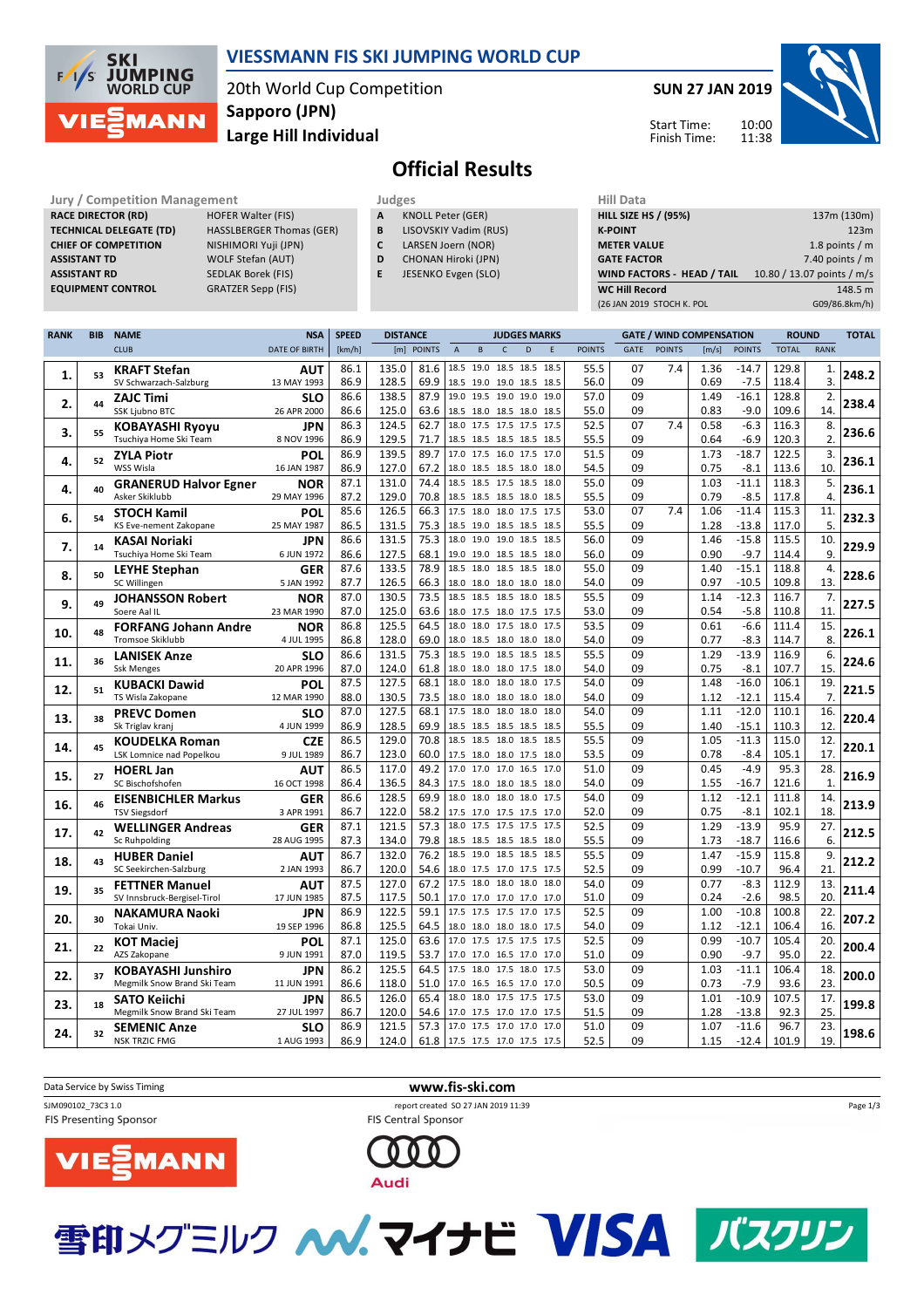

## **VIESSMANN FIS SKI JUMPING WORLD CUP**

20th World Cup Competition **Large Hill Individual Sapporo (JPN)**

**SUN 27 JAN 2019**

11:38



10:00 Start Time: Finish Time:

# **Official Results**

**Jury / Competition Management development development of the Judges of American Hill Data RACE DIRECTOR (RD) HOFER Walter (FIS) TECHNICAL DELEGATE (TD)** HASSLBERGER Thomas (GER) **CHIEF OF COMPETITION** NISHIMORI Yuji (JPN) **ASSISTANT TD** WOLF Stefan (AUT) **ASSISTANT RD** SEDLAK Borek (FIS)

**EQUIPMENT CONTROL** GRATZER Sepp (FIS)

| Judges       |                          |
|--------------|--------------------------|
| $\mathbf{A}$ | <b>KNOLL Peter (GER)</b> |

- **B** LISOVSKIY Vadim (RUS)
- **C** LARSEN Joern (NOR)
- **D** CHONAN Hiroki (JPN)
- **E** JESENKO Evgen (SLO)

| 137m (130m)                |
|----------------------------|
| 123m                       |
| 1.8 points $/m$            |
| 7.40 points $/m$           |
| 10.80 / 13.07 points / m/s |
| 148.5 m                    |
| G09/86.8km/h)              |
|                            |

| <b>CLUB</b><br><b>DATE OF BIRTH</b><br>[km/h]<br>[m] POINTS<br><b>POINTS</b><br><b>TOTAL</b><br>B<br>$\mathsf{C}$<br>D<br>E<br><b>POINTS</b><br><b>GATE</b><br>[m/s]<br><b>POINTS</b><br><b>RANK</b><br>$\overline{A}$<br>135.0<br>81.6<br>18.5 19.0 18.5 18.5<br>55.5<br>7.4<br>86.1<br>18.5<br>07<br>1.36<br>$-14.7$<br>129.8<br><b>KRAFT Stefan</b><br>1.<br><b>AUT</b><br>248.2<br>53<br>1.<br>86.9<br>128.5<br>09<br>3.<br>69.9<br>56.0<br>0.69<br>$-7.5$<br>118.4<br>SV Schwarzach-Salzburg<br>13 MAY 1993<br>18.5 19.0 19.0 18.5 18.5<br>86.6<br>138.5<br>87.9<br>57.0<br>09<br>1.49<br>$-16.1$<br>128.8<br>2.<br>19.0 19.5 19.0 19.0<br>19.0<br><b>ZAJC Timi</b><br><b>SLO</b><br>238.4<br>2.<br>44<br>86.6<br>125.0<br>55.0<br>09<br>$-9.0$<br>109.6<br>14.<br>SSK Ljubno BTC<br>26 APR 2000<br>63.6<br>18.5 18.0 18.5 18.0 18.5<br>0.83<br>07<br>$-6.3$<br>86.3<br>124.5<br>62.7<br>52.5<br>7.4<br>0.58<br>116.3<br>8.<br>18.0 17.5 17.5 17.5 17.5<br><b>KOBAYASHI Ryoyu</b><br><b>JPN</b><br>236.6<br>3.<br>55<br>86.9<br>129.5<br>2.<br>71.7<br>55.5<br>09<br>0.64<br>$-6.9$<br>120.3<br>Tsuchiya Home Ski Team<br>8 NOV 1996<br>18.5 18.5 18.5 18.5 18.5<br>86.9<br>139.5<br>89.7<br>17.0 17.5 16.0 17.5 17.0<br>51.5<br>09<br>1.73<br>$-18.7$<br>122.5<br>3.<br><b>ZYLA Piotr</b><br><b>POL</b><br>236.1<br>4.<br>52<br>86.9<br>127.0<br>54.5<br>09<br>10.<br>WSS Wisla<br>16 JAN 1987<br>67.2<br>0.75<br>$-8.1$<br>113.6<br>18.0 18.5 18.5 18.0 18.0<br>09<br>87.1<br>131.0<br>74.4<br>18.5 18.5 17.5 18.5 18.0<br>55.0<br>1.03<br>$-11.1$<br>118.3<br>5.<br><b>NOR</b><br><b>GRANERUD Halvor Egner</b><br>236.1<br>40<br>4.<br>4.<br>87.2<br>129.0<br>70.8<br>55.5<br>09<br>0.79<br>$-8.5$<br>Asker Skiklubb<br>29 MAY 1996<br>18.5 18.5 18.5 18.0 18.5<br>117.8<br>07<br>$-11.4$<br>85.6<br>126.5<br>66.3<br>17.5 18.0 18.0 17.5 17.5<br>53.0<br>7.4<br>1.06<br>115.3<br>11.<br><b>STOCH Kamil</b><br>POL<br>232.3<br>54<br>6.<br>86.5<br>5.<br>131.5<br>75.3<br>18.5 19.0 18.5 18.5 18.5<br>55.5<br>09<br>1.28<br>$-13.8$<br>117.0<br>KS Eve-nement Zakopane<br>25 MAY 1987<br>131.5<br>56.0<br>09<br>$-15.8$<br>10.<br>86.6<br>75.3<br>18.0 19.0 19.0 18.5 18.5<br>1.46<br>115.5<br><b>JPN</b><br><b>KASAI Noriaki</b><br>229.9<br>7.<br>14<br>127.5<br>09<br>0.90<br>9.<br>86.6<br>68.1<br>56.0<br>$-9.7$<br>114.4<br>6 JUN 1972<br>19.0 19.0 18.5 18.5 18.0<br>Tsuchiya Home Ski Team<br>133.5<br>78.9<br>18.5<br>18.0 18.5 18.5<br>55.0<br>09<br>$-15.1$<br>118.8<br>4.<br>87.6<br>18.0<br>1.40<br><b>LEYHE Stephan</b><br>GER<br>228.6<br>8.<br>50<br>13.<br>SC Willingen<br>5 JAN 1992<br>87.7<br>126.5<br>66.3<br>18.0 18.0 18.0 18.0 18.0<br>54.0<br>09<br>0.97<br>$-10.5$<br>109.8<br>130.5<br>73.5<br>55.5<br>09<br>$-12.3$<br>7.<br>87.0<br>18.5 18.5 18.5 18.0<br>18.5<br>1.14<br>116.7<br><b>JOHANSSON Robert</b><br><b>NOR</b><br>227.5<br>9.<br>49<br>09<br>Soere Aal IL<br>23 MAR 1990<br>87.0<br>125.0<br>63.6<br>18.0 17.5 18.0 17.5 17.5<br>53.0<br>0.54<br>$-5.8$<br>110.8<br>11.<br>125.5<br>18.0 17.5 18.0<br>53.5<br>09<br>$-6.6$<br>15.<br>86.8<br>64.5<br>18.0<br>17.5<br>0.61<br>111.4<br><b>FORFANG Johann Andre</b><br><b>NOR</b><br>226.1<br>10.<br>48<br><b>Tromsoe Skiklubb</b><br>86.8<br>128.0<br>69.0<br>09<br>8.<br>4 JUL 1995<br>18.0 18.5 18.0 18.0 18.0<br>54.0<br>0.77<br>$-8.3$<br>114.7<br>$-13.9$<br>6.<br>86.6<br>131.5<br>75.3<br>18.5 19.0 18.5 18.5 18.5<br>55.5<br>09<br>1.29<br>116.9<br><b>LANISEK Anze</b><br><b>SLO</b><br>224.6<br>11.<br>36<br>15.<br>87.0<br>124.0<br>61.8<br>54.0<br>09<br>0.75<br>$-8.1$<br>107.7<br><b>Ssk Menges</b><br>20 APR 1996<br>18.0 18.0 18.0 17.5 18.0<br>19.<br>127.5<br>68.1<br>54.0<br>09<br>$-16.0$<br>87.5<br>18.0<br>18.0<br>18.0 18.0<br>17.5<br>1.48<br>106.1<br><b>KUBACKI Dawid</b><br>POL<br>221.5<br>12.<br>51<br>09<br>7.<br>TS Wisla Zakopane<br>12 MAR 1990<br>88.0<br>130.5<br>73.5<br>18.0 18.0 18.0 18.0 18.0<br>54.0<br>1.12<br>$-12.1$<br>115.4<br>$-12.0$<br>16.<br>87.0<br>127.5<br>68.1<br>17.5 18.0 18.0 18.0<br>18.0<br>54.0<br>09<br>1.11<br>110.1<br><b>PREVC Domen</b><br><b>SLO</b><br>220.4<br>13.<br>38<br>86.9<br>128.5<br>69.9<br>55.5<br>09<br>12.<br>Sk Triglav kranj<br>4 JUN 1999<br>18.5 18.5 18.5 18.5 18.5<br>1.40<br>$-15.1$<br>110.3<br>129.0<br>55.5<br>09<br>$-11.3$<br>12.<br>86.5<br>70.8<br>1.05<br>115.0<br>18.5 18.5 18.0 18.5 18.5<br>CZE<br><b>KOUDELKA Roman</b><br>220.1<br>45<br>14.<br>86.7<br>123.0<br>60.0<br>53.5<br>09<br>0.78<br>$-8.4$<br>105.1<br>17.<br>17.5 18.0 18.0 17.5 18.0<br>LSK Lomnice nad Popelkou<br>9 JUL 1989<br>86.5<br>117.0<br>49.2<br>51.0<br>09<br>0.45<br>95.3<br>28.<br>17.0 17.0 17.0 16.5 17.0<br>$-4.9$<br>AUT<br><b>HOERL Jan</b><br>216.9<br>15.<br>27<br>136.5<br>84.3<br>54.0<br>09<br>121.6<br>$\mathbf{1}$<br>86.4<br>1.55<br>$-16.7$<br>SC Bischofshofen<br>16 OCT 1998<br>17.5 18.0 18.0 18.5 18.0<br>128.5<br>69.9<br>54.0<br>09<br>1.12<br>$-12.1$<br>14.<br>86.6<br>18.0<br>18.0 18.0 18.0<br>111.8<br>17.5<br><b>EISENBICHLER Markus</b><br><b>GER</b><br>213.9<br>16.<br>46<br>86.7<br>122.0<br>58.2<br>52.0<br>09<br>$-8.1$<br>102.1<br>18.<br><b>TSV Siegsdorf</b><br>3 APR 1991<br>17.5 17.0 17.5 17.5 17.0<br>0.75<br>57.3<br>18.0 17.5 17.5 17.5 17.5<br>1.29<br>$-13.9$<br>95.9<br>27.<br>87.1<br>121.5<br>52.5<br>09<br><b>WELLINGER Andreas</b><br>GER<br>212.5<br>42<br>17.<br>79.8<br>55.5<br>6.<br>87.3<br>134.0<br>09<br>1.73<br>$-18.7$<br>116.6<br>Sc Ruhpolding<br>28 AUG 1995<br>18.5 18.5 18.5 18.5 18.0<br>132.0<br>76.2<br>18.5 19.0 18.5 18.5<br>55.5<br>09<br>1.47<br>$-15.9$<br>9.<br>86.7<br>18.5<br>115.8 |
|-------------------------------------------------------------------------------------------------------------------------------------------------------------------------------------------------------------------------------------------------------------------------------------------------------------------------------------------------------------------------------------------------------------------------------------------------------------------------------------------------------------------------------------------------------------------------------------------------------------------------------------------------------------------------------------------------------------------------------------------------------------------------------------------------------------------------------------------------------------------------------------------------------------------------------------------------------------------------------------------------------------------------------------------------------------------------------------------------------------------------------------------------------------------------------------------------------------------------------------------------------------------------------------------------------------------------------------------------------------------------------------------------------------------------------------------------------------------------------------------------------------------------------------------------------------------------------------------------------------------------------------------------------------------------------------------------------------------------------------------------------------------------------------------------------------------------------------------------------------------------------------------------------------------------------------------------------------------------------------------------------------------------------------------------------------------------------------------------------------------------------------------------------------------------------------------------------------------------------------------------------------------------------------------------------------------------------------------------------------------------------------------------------------------------------------------------------------------------------------------------------------------------------------------------------------------------------------------------------------------------------------------------------------------------------------------------------------------------------------------------------------------------------------------------------------------------------------------------------------------------------------------------------------------------------------------------------------------------------------------------------------------------------------------------------------------------------------------------------------------------------------------------------------------------------------------------------------------------------------------------------------------------------------------------------------------------------------------------------------------------------------------------------------------------------------------------------------------------------------------------------------------------------------------------------------------------------------------------------------------------------------------------------------------------------------------------------------------------------------------------------------------------------------------------------------------------------------------------------------------------------------------------------------------------------------------------------------------------------------------------------------------------------------------------------------------------------------------------------------------------------------------------------------------------------------------------------------------------------------------------------------------------------------------------------------------------------------------------------------------------------------------------------------------------------------------------------------------------------------------------------------------------------------------------------------------------------------------------------------------------------------------------------------------------------------------------------------------------------------------------------------------------------------------------------------------------------------------------------------------------------------------------------------------------------------------------------------------------------------------------------------------------------------------------------------------------------------------------------------------------------------------------------------------------------------------------------------------------------------------------------------------------------------------------------------------------------------------------------------------------------------------------------------------------------------------------------------------------------------------------------------------------------------------------------------------------------------------------------------------------------------------|
|                                                                                                                                                                                                                                                                                                                                                                                                                                                                                                                                                                                                                                                                                                                                                                                                                                                                                                                                                                                                                                                                                                                                                                                                                                                                                                                                                                                                                                                                                                                                                                                                                                                                                                                                                                                                                                                                                                                                                                                                                                                                                                                                                                                                                                                                                                                                                                                                                                                                                                                                                                                                                                                                                                                                                                                                                                                                                                                                                                                                                                                                                                                                                                                                                                                                                                                                                                                                                                                                                                                                                                                                                                                                                                                                                                                                                                                                                                                                                                                                                                                                                                                                                                                                                                                                                                                                                                                                                                                                                                                                                                                                                                                                                                                                                                                                                                                                                                                                                                                                                                                                                                                                                                                                                                                                                                                                                                                                                                                                                                                                                                                                                                           |
|                                                                                                                                                                                                                                                                                                                                                                                                                                                                                                                                                                                                                                                                                                                                                                                                                                                                                                                                                                                                                                                                                                                                                                                                                                                                                                                                                                                                                                                                                                                                                                                                                                                                                                                                                                                                                                                                                                                                                                                                                                                                                                                                                                                                                                                                                                                                                                                                                                                                                                                                                                                                                                                                                                                                                                                                                                                                                                                                                                                                                                                                                                                                                                                                                                                                                                                                                                                                                                                                                                                                                                                                                                                                                                                                                                                                                                                                                                                                                                                                                                                                                                                                                                                                                                                                                                                                                                                                                                                                                                                                                                                                                                                                                                                                                                                                                                                                                                                                                                                                                                                                                                                                                                                                                                                                                                                                                                                                                                                                                                                                                                                                                                           |
|                                                                                                                                                                                                                                                                                                                                                                                                                                                                                                                                                                                                                                                                                                                                                                                                                                                                                                                                                                                                                                                                                                                                                                                                                                                                                                                                                                                                                                                                                                                                                                                                                                                                                                                                                                                                                                                                                                                                                                                                                                                                                                                                                                                                                                                                                                                                                                                                                                                                                                                                                                                                                                                                                                                                                                                                                                                                                                                                                                                                                                                                                                                                                                                                                                                                                                                                                                                                                                                                                                                                                                                                                                                                                                                                                                                                                                                                                                                                                                                                                                                                                                                                                                                                                                                                                                                                                                                                                                                                                                                                                                                                                                                                                                                                                                                                                                                                                                                                                                                                                                                                                                                                                                                                                                                                                                                                                                                                                                                                                                                                                                                                                                           |
|                                                                                                                                                                                                                                                                                                                                                                                                                                                                                                                                                                                                                                                                                                                                                                                                                                                                                                                                                                                                                                                                                                                                                                                                                                                                                                                                                                                                                                                                                                                                                                                                                                                                                                                                                                                                                                                                                                                                                                                                                                                                                                                                                                                                                                                                                                                                                                                                                                                                                                                                                                                                                                                                                                                                                                                                                                                                                                                                                                                                                                                                                                                                                                                                                                                                                                                                                                                                                                                                                                                                                                                                                                                                                                                                                                                                                                                                                                                                                                                                                                                                                                                                                                                                                                                                                                                                                                                                                                                                                                                                                                                                                                                                                                                                                                                                                                                                                                                                                                                                                                                                                                                                                                                                                                                                                                                                                                                                                                                                                                                                                                                                                                           |
|                                                                                                                                                                                                                                                                                                                                                                                                                                                                                                                                                                                                                                                                                                                                                                                                                                                                                                                                                                                                                                                                                                                                                                                                                                                                                                                                                                                                                                                                                                                                                                                                                                                                                                                                                                                                                                                                                                                                                                                                                                                                                                                                                                                                                                                                                                                                                                                                                                                                                                                                                                                                                                                                                                                                                                                                                                                                                                                                                                                                                                                                                                                                                                                                                                                                                                                                                                                                                                                                                                                                                                                                                                                                                                                                                                                                                                                                                                                                                                                                                                                                                                                                                                                                                                                                                                                                                                                                                                                                                                                                                                                                                                                                                                                                                                                                                                                                                                                                                                                                                                                                                                                                                                                                                                                                                                                                                                                                                                                                                                                                                                                                                                           |
|                                                                                                                                                                                                                                                                                                                                                                                                                                                                                                                                                                                                                                                                                                                                                                                                                                                                                                                                                                                                                                                                                                                                                                                                                                                                                                                                                                                                                                                                                                                                                                                                                                                                                                                                                                                                                                                                                                                                                                                                                                                                                                                                                                                                                                                                                                                                                                                                                                                                                                                                                                                                                                                                                                                                                                                                                                                                                                                                                                                                                                                                                                                                                                                                                                                                                                                                                                                                                                                                                                                                                                                                                                                                                                                                                                                                                                                                                                                                                                                                                                                                                                                                                                                                                                                                                                                                                                                                                                                                                                                                                                                                                                                                                                                                                                                                                                                                                                                                                                                                                                                                                                                                                                                                                                                                                                                                                                                                                                                                                                                                                                                                                                           |
|                                                                                                                                                                                                                                                                                                                                                                                                                                                                                                                                                                                                                                                                                                                                                                                                                                                                                                                                                                                                                                                                                                                                                                                                                                                                                                                                                                                                                                                                                                                                                                                                                                                                                                                                                                                                                                                                                                                                                                                                                                                                                                                                                                                                                                                                                                                                                                                                                                                                                                                                                                                                                                                                                                                                                                                                                                                                                                                                                                                                                                                                                                                                                                                                                                                                                                                                                                                                                                                                                                                                                                                                                                                                                                                                                                                                                                                                                                                                                                                                                                                                                                                                                                                                                                                                                                                                                                                                                                                                                                                                                                                                                                                                                                                                                                                                                                                                                                                                                                                                                                                                                                                                                                                                                                                                                                                                                                                                                                                                                                                                                                                                                                           |
|                                                                                                                                                                                                                                                                                                                                                                                                                                                                                                                                                                                                                                                                                                                                                                                                                                                                                                                                                                                                                                                                                                                                                                                                                                                                                                                                                                                                                                                                                                                                                                                                                                                                                                                                                                                                                                                                                                                                                                                                                                                                                                                                                                                                                                                                                                                                                                                                                                                                                                                                                                                                                                                                                                                                                                                                                                                                                                                                                                                                                                                                                                                                                                                                                                                                                                                                                                                                                                                                                                                                                                                                                                                                                                                                                                                                                                                                                                                                                                                                                                                                                                                                                                                                                                                                                                                                                                                                                                                                                                                                                                                                                                                                                                                                                                                                                                                                                                                                                                                                                                                                                                                                                                                                                                                                                                                                                                                                                                                                                                                                                                                                                                           |
|                                                                                                                                                                                                                                                                                                                                                                                                                                                                                                                                                                                                                                                                                                                                                                                                                                                                                                                                                                                                                                                                                                                                                                                                                                                                                                                                                                                                                                                                                                                                                                                                                                                                                                                                                                                                                                                                                                                                                                                                                                                                                                                                                                                                                                                                                                                                                                                                                                                                                                                                                                                                                                                                                                                                                                                                                                                                                                                                                                                                                                                                                                                                                                                                                                                                                                                                                                                                                                                                                                                                                                                                                                                                                                                                                                                                                                                                                                                                                                                                                                                                                                                                                                                                                                                                                                                                                                                                                                                                                                                                                                                                                                                                                                                                                                                                                                                                                                                                                                                                                                                                                                                                                                                                                                                                                                                                                                                                                                                                                                                                                                                                                                           |
|                                                                                                                                                                                                                                                                                                                                                                                                                                                                                                                                                                                                                                                                                                                                                                                                                                                                                                                                                                                                                                                                                                                                                                                                                                                                                                                                                                                                                                                                                                                                                                                                                                                                                                                                                                                                                                                                                                                                                                                                                                                                                                                                                                                                                                                                                                                                                                                                                                                                                                                                                                                                                                                                                                                                                                                                                                                                                                                                                                                                                                                                                                                                                                                                                                                                                                                                                                                                                                                                                                                                                                                                                                                                                                                                                                                                                                                                                                                                                                                                                                                                                                                                                                                                                                                                                                                                                                                                                                                                                                                                                                                                                                                                                                                                                                                                                                                                                                                                                                                                                                                                                                                                                                                                                                                                                                                                                                                                                                                                                                                                                                                                                                           |
|                                                                                                                                                                                                                                                                                                                                                                                                                                                                                                                                                                                                                                                                                                                                                                                                                                                                                                                                                                                                                                                                                                                                                                                                                                                                                                                                                                                                                                                                                                                                                                                                                                                                                                                                                                                                                                                                                                                                                                                                                                                                                                                                                                                                                                                                                                                                                                                                                                                                                                                                                                                                                                                                                                                                                                                                                                                                                                                                                                                                                                                                                                                                                                                                                                                                                                                                                                                                                                                                                                                                                                                                                                                                                                                                                                                                                                                                                                                                                                                                                                                                                                                                                                                                                                                                                                                                                                                                                                                                                                                                                                                                                                                                                                                                                                                                                                                                                                                                                                                                                                                                                                                                                                                                                                                                                                                                                                                                                                                                                                                                                                                                                                           |
|                                                                                                                                                                                                                                                                                                                                                                                                                                                                                                                                                                                                                                                                                                                                                                                                                                                                                                                                                                                                                                                                                                                                                                                                                                                                                                                                                                                                                                                                                                                                                                                                                                                                                                                                                                                                                                                                                                                                                                                                                                                                                                                                                                                                                                                                                                                                                                                                                                                                                                                                                                                                                                                                                                                                                                                                                                                                                                                                                                                                                                                                                                                                                                                                                                                                                                                                                                                                                                                                                                                                                                                                                                                                                                                                                                                                                                                                                                                                                                                                                                                                                                                                                                                                                                                                                                                                                                                                                                                                                                                                                                                                                                                                                                                                                                                                                                                                                                                                                                                                                                                                                                                                                                                                                                                                                                                                                                                                                                                                                                                                                                                                                                           |
|                                                                                                                                                                                                                                                                                                                                                                                                                                                                                                                                                                                                                                                                                                                                                                                                                                                                                                                                                                                                                                                                                                                                                                                                                                                                                                                                                                                                                                                                                                                                                                                                                                                                                                                                                                                                                                                                                                                                                                                                                                                                                                                                                                                                                                                                                                                                                                                                                                                                                                                                                                                                                                                                                                                                                                                                                                                                                                                                                                                                                                                                                                                                                                                                                                                                                                                                                                                                                                                                                                                                                                                                                                                                                                                                                                                                                                                                                                                                                                                                                                                                                                                                                                                                                                                                                                                                                                                                                                                                                                                                                                                                                                                                                                                                                                                                                                                                                                                                                                                                                                                                                                                                                                                                                                                                                                                                                                                                                                                                                                                                                                                                                                           |
|                                                                                                                                                                                                                                                                                                                                                                                                                                                                                                                                                                                                                                                                                                                                                                                                                                                                                                                                                                                                                                                                                                                                                                                                                                                                                                                                                                                                                                                                                                                                                                                                                                                                                                                                                                                                                                                                                                                                                                                                                                                                                                                                                                                                                                                                                                                                                                                                                                                                                                                                                                                                                                                                                                                                                                                                                                                                                                                                                                                                                                                                                                                                                                                                                                                                                                                                                                                                                                                                                                                                                                                                                                                                                                                                                                                                                                                                                                                                                                                                                                                                                                                                                                                                                                                                                                                                                                                                                                                                                                                                                                                                                                                                                                                                                                                                                                                                                                                                                                                                                                                                                                                                                                                                                                                                                                                                                                                                                                                                                                                                                                                                                                           |
|                                                                                                                                                                                                                                                                                                                                                                                                                                                                                                                                                                                                                                                                                                                                                                                                                                                                                                                                                                                                                                                                                                                                                                                                                                                                                                                                                                                                                                                                                                                                                                                                                                                                                                                                                                                                                                                                                                                                                                                                                                                                                                                                                                                                                                                                                                                                                                                                                                                                                                                                                                                                                                                                                                                                                                                                                                                                                                                                                                                                                                                                                                                                                                                                                                                                                                                                                                                                                                                                                                                                                                                                                                                                                                                                                                                                                                                                                                                                                                                                                                                                                                                                                                                                                                                                                                                                                                                                                                                                                                                                                                                                                                                                                                                                                                                                                                                                                                                                                                                                                                                                                                                                                                                                                                                                                                                                                                                                                                                                                                                                                                                                                                           |
|                                                                                                                                                                                                                                                                                                                                                                                                                                                                                                                                                                                                                                                                                                                                                                                                                                                                                                                                                                                                                                                                                                                                                                                                                                                                                                                                                                                                                                                                                                                                                                                                                                                                                                                                                                                                                                                                                                                                                                                                                                                                                                                                                                                                                                                                                                                                                                                                                                                                                                                                                                                                                                                                                                                                                                                                                                                                                                                                                                                                                                                                                                                                                                                                                                                                                                                                                                                                                                                                                                                                                                                                                                                                                                                                                                                                                                                                                                                                                                                                                                                                                                                                                                                                                                                                                                                                                                                                                                                                                                                                                                                                                                                                                                                                                                                                                                                                                                                                                                                                                                                                                                                                                                                                                                                                                                                                                                                                                                                                                                                                                                                                                                           |
|                                                                                                                                                                                                                                                                                                                                                                                                                                                                                                                                                                                                                                                                                                                                                                                                                                                                                                                                                                                                                                                                                                                                                                                                                                                                                                                                                                                                                                                                                                                                                                                                                                                                                                                                                                                                                                                                                                                                                                                                                                                                                                                                                                                                                                                                                                                                                                                                                                                                                                                                                                                                                                                                                                                                                                                                                                                                                                                                                                                                                                                                                                                                                                                                                                                                                                                                                                                                                                                                                                                                                                                                                                                                                                                                                                                                                                                                                                                                                                                                                                                                                                                                                                                                                                                                                                                                                                                                                                                                                                                                                                                                                                                                                                                                                                                                                                                                                                                                                                                                                                                                                                                                                                                                                                                                                                                                                                                                                                                                                                                                                                                                                                           |
|                                                                                                                                                                                                                                                                                                                                                                                                                                                                                                                                                                                                                                                                                                                                                                                                                                                                                                                                                                                                                                                                                                                                                                                                                                                                                                                                                                                                                                                                                                                                                                                                                                                                                                                                                                                                                                                                                                                                                                                                                                                                                                                                                                                                                                                                                                                                                                                                                                                                                                                                                                                                                                                                                                                                                                                                                                                                                                                                                                                                                                                                                                                                                                                                                                                                                                                                                                                                                                                                                                                                                                                                                                                                                                                                                                                                                                                                                                                                                                                                                                                                                                                                                                                                                                                                                                                                                                                                                                                                                                                                                                                                                                                                                                                                                                                                                                                                                                                                                                                                                                                                                                                                                                                                                                                                                                                                                                                                                                                                                                                                                                                                                                           |
|                                                                                                                                                                                                                                                                                                                                                                                                                                                                                                                                                                                                                                                                                                                                                                                                                                                                                                                                                                                                                                                                                                                                                                                                                                                                                                                                                                                                                                                                                                                                                                                                                                                                                                                                                                                                                                                                                                                                                                                                                                                                                                                                                                                                                                                                                                                                                                                                                                                                                                                                                                                                                                                                                                                                                                                                                                                                                                                                                                                                                                                                                                                                                                                                                                                                                                                                                                                                                                                                                                                                                                                                                                                                                                                                                                                                                                                                                                                                                                                                                                                                                                                                                                                                                                                                                                                                                                                                                                                                                                                                                                                                                                                                                                                                                                                                                                                                                                                                                                                                                                                                                                                                                                                                                                                                                                                                                                                                                                                                                                                                                                                                                                           |
|                                                                                                                                                                                                                                                                                                                                                                                                                                                                                                                                                                                                                                                                                                                                                                                                                                                                                                                                                                                                                                                                                                                                                                                                                                                                                                                                                                                                                                                                                                                                                                                                                                                                                                                                                                                                                                                                                                                                                                                                                                                                                                                                                                                                                                                                                                                                                                                                                                                                                                                                                                                                                                                                                                                                                                                                                                                                                                                                                                                                                                                                                                                                                                                                                                                                                                                                                                                                                                                                                                                                                                                                                                                                                                                                                                                                                                                                                                                                                                                                                                                                                                                                                                                                                                                                                                                                                                                                                                                                                                                                                                                                                                                                                                                                                                                                                                                                                                                                                                                                                                                                                                                                                                                                                                                                                                                                                                                                                                                                                                                                                                                                                                           |
|                                                                                                                                                                                                                                                                                                                                                                                                                                                                                                                                                                                                                                                                                                                                                                                                                                                                                                                                                                                                                                                                                                                                                                                                                                                                                                                                                                                                                                                                                                                                                                                                                                                                                                                                                                                                                                                                                                                                                                                                                                                                                                                                                                                                                                                                                                                                                                                                                                                                                                                                                                                                                                                                                                                                                                                                                                                                                                                                                                                                                                                                                                                                                                                                                                                                                                                                                                                                                                                                                                                                                                                                                                                                                                                                                                                                                                                                                                                                                                                                                                                                                                                                                                                                                                                                                                                                                                                                                                                                                                                                                                                                                                                                                                                                                                                                                                                                                                                                                                                                                                                                                                                                                                                                                                                                                                                                                                                                                                                                                                                                                                                                                                           |
|                                                                                                                                                                                                                                                                                                                                                                                                                                                                                                                                                                                                                                                                                                                                                                                                                                                                                                                                                                                                                                                                                                                                                                                                                                                                                                                                                                                                                                                                                                                                                                                                                                                                                                                                                                                                                                                                                                                                                                                                                                                                                                                                                                                                                                                                                                                                                                                                                                                                                                                                                                                                                                                                                                                                                                                                                                                                                                                                                                                                                                                                                                                                                                                                                                                                                                                                                                                                                                                                                                                                                                                                                                                                                                                                                                                                                                                                                                                                                                                                                                                                                                                                                                                                                                                                                                                                                                                                                                                                                                                                                                                                                                                                                                                                                                                                                                                                                                                                                                                                                                                                                                                                                                                                                                                                                                                                                                                                                                                                                                                                                                                                                                           |
|                                                                                                                                                                                                                                                                                                                                                                                                                                                                                                                                                                                                                                                                                                                                                                                                                                                                                                                                                                                                                                                                                                                                                                                                                                                                                                                                                                                                                                                                                                                                                                                                                                                                                                                                                                                                                                                                                                                                                                                                                                                                                                                                                                                                                                                                                                                                                                                                                                                                                                                                                                                                                                                                                                                                                                                                                                                                                                                                                                                                                                                                                                                                                                                                                                                                                                                                                                                                                                                                                                                                                                                                                                                                                                                                                                                                                                                                                                                                                                                                                                                                                                                                                                                                                                                                                                                                                                                                                                                                                                                                                                                                                                                                                                                                                                                                                                                                                                                                                                                                                                                                                                                                                                                                                                                                                                                                                                                                                                                                                                                                                                                                                                           |
|                                                                                                                                                                                                                                                                                                                                                                                                                                                                                                                                                                                                                                                                                                                                                                                                                                                                                                                                                                                                                                                                                                                                                                                                                                                                                                                                                                                                                                                                                                                                                                                                                                                                                                                                                                                                                                                                                                                                                                                                                                                                                                                                                                                                                                                                                                                                                                                                                                                                                                                                                                                                                                                                                                                                                                                                                                                                                                                                                                                                                                                                                                                                                                                                                                                                                                                                                                                                                                                                                                                                                                                                                                                                                                                                                                                                                                                                                                                                                                                                                                                                                                                                                                                                                                                                                                                                                                                                                                                                                                                                                                                                                                                                                                                                                                                                                                                                                                                                                                                                                                                                                                                                                                                                                                                                                                                                                                                                                                                                                                                                                                                                                                           |
|                                                                                                                                                                                                                                                                                                                                                                                                                                                                                                                                                                                                                                                                                                                                                                                                                                                                                                                                                                                                                                                                                                                                                                                                                                                                                                                                                                                                                                                                                                                                                                                                                                                                                                                                                                                                                                                                                                                                                                                                                                                                                                                                                                                                                                                                                                                                                                                                                                                                                                                                                                                                                                                                                                                                                                                                                                                                                                                                                                                                                                                                                                                                                                                                                                                                                                                                                                                                                                                                                                                                                                                                                                                                                                                                                                                                                                                                                                                                                                                                                                                                                                                                                                                                                                                                                                                                                                                                                                                                                                                                                                                                                                                                                                                                                                                                                                                                                                                                                                                                                                                                                                                                                                                                                                                                                                                                                                                                                                                                                                                                                                                                                                           |
|                                                                                                                                                                                                                                                                                                                                                                                                                                                                                                                                                                                                                                                                                                                                                                                                                                                                                                                                                                                                                                                                                                                                                                                                                                                                                                                                                                                                                                                                                                                                                                                                                                                                                                                                                                                                                                                                                                                                                                                                                                                                                                                                                                                                                                                                                                                                                                                                                                                                                                                                                                                                                                                                                                                                                                                                                                                                                                                                                                                                                                                                                                                                                                                                                                                                                                                                                                                                                                                                                                                                                                                                                                                                                                                                                                                                                                                                                                                                                                                                                                                                                                                                                                                                                                                                                                                                                                                                                                                                                                                                                                                                                                                                                                                                                                                                                                                                                                                                                                                                                                                                                                                                                                                                                                                                                                                                                                                                                                                                                                                                                                                                                                           |
|                                                                                                                                                                                                                                                                                                                                                                                                                                                                                                                                                                                                                                                                                                                                                                                                                                                                                                                                                                                                                                                                                                                                                                                                                                                                                                                                                                                                                                                                                                                                                                                                                                                                                                                                                                                                                                                                                                                                                                                                                                                                                                                                                                                                                                                                                                                                                                                                                                                                                                                                                                                                                                                                                                                                                                                                                                                                                                                                                                                                                                                                                                                                                                                                                                                                                                                                                                                                                                                                                                                                                                                                                                                                                                                                                                                                                                                                                                                                                                                                                                                                                                                                                                                                                                                                                                                                                                                                                                                                                                                                                                                                                                                                                                                                                                                                                                                                                                                                                                                                                                                                                                                                                                                                                                                                                                                                                                                                                                                                                                                                                                                                                                           |
|                                                                                                                                                                                                                                                                                                                                                                                                                                                                                                                                                                                                                                                                                                                                                                                                                                                                                                                                                                                                                                                                                                                                                                                                                                                                                                                                                                                                                                                                                                                                                                                                                                                                                                                                                                                                                                                                                                                                                                                                                                                                                                                                                                                                                                                                                                                                                                                                                                                                                                                                                                                                                                                                                                                                                                                                                                                                                                                                                                                                                                                                                                                                                                                                                                                                                                                                                                                                                                                                                                                                                                                                                                                                                                                                                                                                                                                                                                                                                                                                                                                                                                                                                                                                                                                                                                                                                                                                                                                                                                                                                                                                                                                                                                                                                                                                                                                                                                                                                                                                                                                                                                                                                                                                                                                                                                                                                                                                                                                                                                                                                                                                                                           |
|                                                                                                                                                                                                                                                                                                                                                                                                                                                                                                                                                                                                                                                                                                                                                                                                                                                                                                                                                                                                                                                                                                                                                                                                                                                                                                                                                                                                                                                                                                                                                                                                                                                                                                                                                                                                                                                                                                                                                                                                                                                                                                                                                                                                                                                                                                                                                                                                                                                                                                                                                                                                                                                                                                                                                                                                                                                                                                                                                                                                                                                                                                                                                                                                                                                                                                                                                                                                                                                                                                                                                                                                                                                                                                                                                                                                                                                                                                                                                                                                                                                                                                                                                                                                                                                                                                                                                                                                                                                                                                                                                                                                                                                                                                                                                                                                                                                                                                                                                                                                                                                                                                                                                                                                                                                                                                                                                                                                                                                                                                                                                                                                                                           |
|                                                                                                                                                                                                                                                                                                                                                                                                                                                                                                                                                                                                                                                                                                                                                                                                                                                                                                                                                                                                                                                                                                                                                                                                                                                                                                                                                                                                                                                                                                                                                                                                                                                                                                                                                                                                                                                                                                                                                                                                                                                                                                                                                                                                                                                                                                                                                                                                                                                                                                                                                                                                                                                                                                                                                                                                                                                                                                                                                                                                                                                                                                                                                                                                                                                                                                                                                                                                                                                                                                                                                                                                                                                                                                                                                                                                                                                                                                                                                                                                                                                                                                                                                                                                                                                                                                                                                                                                                                                                                                                                                                                                                                                                                                                                                                                                                                                                                                                                                                                                                                                                                                                                                                                                                                                                                                                                                                                                                                                                                                                                                                                                                                           |
|                                                                                                                                                                                                                                                                                                                                                                                                                                                                                                                                                                                                                                                                                                                                                                                                                                                                                                                                                                                                                                                                                                                                                                                                                                                                                                                                                                                                                                                                                                                                                                                                                                                                                                                                                                                                                                                                                                                                                                                                                                                                                                                                                                                                                                                                                                                                                                                                                                                                                                                                                                                                                                                                                                                                                                                                                                                                                                                                                                                                                                                                                                                                                                                                                                                                                                                                                                                                                                                                                                                                                                                                                                                                                                                                                                                                                                                                                                                                                                                                                                                                                                                                                                                                                                                                                                                                                                                                                                                                                                                                                                                                                                                                                                                                                                                                                                                                                                                                                                                                                                                                                                                                                                                                                                                                                                                                                                                                                                                                                                                                                                                                                                           |
|                                                                                                                                                                                                                                                                                                                                                                                                                                                                                                                                                                                                                                                                                                                                                                                                                                                                                                                                                                                                                                                                                                                                                                                                                                                                                                                                                                                                                                                                                                                                                                                                                                                                                                                                                                                                                                                                                                                                                                                                                                                                                                                                                                                                                                                                                                                                                                                                                                                                                                                                                                                                                                                                                                                                                                                                                                                                                                                                                                                                                                                                                                                                                                                                                                                                                                                                                                                                                                                                                                                                                                                                                                                                                                                                                                                                                                                                                                                                                                                                                                                                                                                                                                                                                                                                                                                                                                                                                                                                                                                                                                                                                                                                                                                                                                                                                                                                                                                                                                                                                                                                                                                                                                                                                                                                                                                                                                                                                                                                                                                                                                                                                                           |
|                                                                                                                                                                                                                                                                                                                                                                                                                                                                                                                                                                                                                                                                                                                                                                                                                                                                                                                                                                                                                                                                                                                                                                                                                                                                                                                                                                                                                                                                                                                                                                                                                                                                                                                                                                                                                                                                                                                                                                                                                                                                                                                                                                                                                                                                                                                                                                                                                                                                                                                                                                                                                                                                                                                                                                                                                                                                                                                                                                                                                                                                                                                                                                                                                                                                                                                                                                                                                                                                                                                                                                                                                                                                                                                                                                                                                                                                                                                                                                                                                                                                                                                                                                                                                                                                                                                                                                                                                                                                                                                                                                                                                                                                                                                                                                                                                                                                                                                                                                                                                                                                                                                                                                                                                                                                                                                                                                                                                                                                                                                                                                                                                                           |
|                                                                                                                                                                                                                                                                                                                                                                                                                                                                                                                                                                                                                                                                                                                                                                                                                                                                                                                                                                                                                                                                                                                                                                                                                                                                                                                                                                                                                                                                                                                                                                                                                                                                                                                                                                                                                                                                                                                                                                                                                                                                                                                                                                                                                                                                                                                                                                                                                                                                                                                                                                                                                                                                                                                                                                                                                                                                                                                                                                                                                                                                                                                                                                                                                                                                                                                                                                                                                                                                                                                                                                                                                                                                                                                                                                                                                                                                                                                                                                                                                                                                                                                                                                                                                                                                                                                                                                                                                                                                                                                                                                                                                                                                                                                                                                                                                                                                                                                                                                                                                                                                                                                                                                                                                                                                                                                                                                                                                                                                                                                                                                                                                                           |
|                                                                                                                                                                                                                                                                                                                                                                                                                                                                                                                                                                                                                                                                                                                                                                                                                                                                                                                                                                                                                                                                                                                                                                                                                                                                                                                                                                                                                                                                                                                                                                                                                                                                                                                                                                                                                                                                                                                                                                                                                                                                                                                                                                                                                                                                                                                                                                                                                                                                                                                                                                                                                                                                                                                                                                                                                                                                                                                                                                                                                                                                                                                                                                                                                                                                                                                                                                                                                                                                                                                                                                                                                                                                                                                                                                                                                                                                                                                                                                                                                                                                                                                                                                                                                                                                                                                                                                                                                                                                                                                                                                                                                                                                                                                                                                                                                                                                                                                                                                                                                                                                                                                                                                                                                                                                                                                                                                                                                                                                                                                                                                                                                                           |
| <b>HUBER Daniel</b><br><b>AUT</b><br>212.2<br>18.<br>43                                                                                                                                                                                                                                                                                                                                                                                                                                                                                                                                                                                                                                                                                                                                                                                                                                                                                                                                                                                                                                                                                                                                                                                                                                                                                                                                                                                                                                                                                                                                                                                                                                                                                                                                                                                                                                                                                                                                                                                                                                                                                                                                                                                                                                                                                                                                                                                                                                                                                                                                                                                                                                                                                                                                                                                                                                                                                                                                                                                                                                                                                                                                                                                                                                                                                                                                                                                                                                                                                                                                                                                                                                                                                                                                                                                                                                                                                                                                                                                                                                                                                                                                                                                                                                                                                                                                                                                                                                                                                                                                                                                                                                                                                                                                                                                                                                                                                                                                                                                                                                                                                                                                                                                                                                                                                                                                                                                                                                                                                                                                                                                   |
| 120.0<br>54.6<br>52.5<br>09<br>$-10.7$<br>96.4<br>21.<br>SC Seekirchen-Salzburg<br>2 JAN 1993<br>86.7<br>18.0 17.5 17.0 17.5 17.5<br>0.99                                                                                                                                                                                                                                                                                                                                                                                                                                                                                                                                                                                                                                                                                                                                                                                                                                                                                                                                                                                                                                                                                                                                                                                                                                                                                                                                                                                                                                                                                                                                                                                                                                                                                                                                                                                                                                                                                                                                                                                                                                                                                                                                                                                                                                                                                                                                                                                                                                                                                                                                                                                                                                                                                                                                                                                                                                                                                                                                                                                                                                                                                                                                                                                                                                                                                                                                                                                                                                                                                                                                                                                                                                                                                                                                                                                                                                                                                                                                                                                                                                                                                                                                                                                                                                                                                                                                                                                                                                                                                                                                                                                                                                                                                                                                                                                                                                                                                                                                                                                                                                                                                                                                                                                                                                                                                                                                                                                                                                                                                                 |
| 17.5 18.0 18.0 18.0<br>87.5<br>127.0<br>67.2<br>54.0<br>09<br>0.77<br>$-8.3$<br>112.9<br>13.<br>18.0<br><b>FETTNER Manuel</b><br><b>AUT</b><br>211.4<br>19.<br>35                                                                                                                                                                                                                                                                                                                                                                                                                                                                                                                                                                                                                                                                                                                                                                                                                                                                                                                                                                                                                                                                                                                                                                                                                                                                                                                                                                                                                                                                                                                                                                                                                                                                                                                                                                                                                                                                                                                                                                                                                                                                                                                                                                                                                                                                                                                                                                                                                                                                                                                                                                                                                                                                                                                                                                                                                                                                                                                                                                                                                                                                                                                                                                                                                                                                                                                                                                                                                                                                                                                                                                                                                                                                                                                                                                                                                                                                                                                                                                                                                                                                                                                                                                                                                                                                                                                                                                                                                                                                                                                                                                                                                                                                                                                                                                                                                                                                                                                                                                                                                                                                                                                                                                                                                                                                                                                                                                                                                                                                         |
| 20.<br>87.5<br>117.5<br>50.1<br>51.0<br>09<br>$-2.6$<br>98.5<br>SV Innsbruck-Bergisel-Tirol<br>17 JUN 1985<br>17.0 17.0 17.0 17.0 17.0<br>0.24<br>09                                                                                                                                                                                                                                                                                                                                                                                                                                                                                                                                                                                                                                                                                                                                                                                                                                                                                                                                                                                                                                                                                                                                                                                                                                                                                                                                                                                                                                                                                                                                                                                                                                                                                                                                                                                                                                                                                                                                                                                                                                                                                                                                                                                                                                                                                                                                                                                                                                                                                                                                                                                                                                                                                                                                                                                                                                                                                                                                                                                                                                                                                                                                                                                                                                                                                                                                                                                                                                                                                                                                                                                                                                                                                                                                                                                                                                                                                                                                                                                                                                                                                                                                                                                                                                                                                                                                                                                                                                                                                                                                                                                                                                                                                                                                                                                                                                                                                                                                                                                                                                                                                                                                                                                                                                                                                                                                                                                                                                                                                      |
| 122.5<br>$-10.8$<br>22.<br>86.9<br>59.1<br>17.5 17.5 17.5 17.0<br>52.5<br>1.00<br>100.8<br>17.5<br><b>NAKAMURA Naoki</b><br>JPN<br>207.2<br>20.<br>30<br>125.5<br>09<br>16.<br>54.0                                                                                                                                                                                                                                                                                                                                                                                                                                                                                                                                                                                                                                                                                                                                                                                                                                                                                                                                                                                                                                                                                                                                                                                                                                                                                                                                                                                                                                                                                                                                                                                                                                                                                                                                                                                                                                                                                                                                                                                                                                                                                                                                                                                                                                                                                                                                                                                                                                                                                                                                                                                                                                                                                                                                                                                                                                                                                                                                                                                                                                                                                                                                                                                                                                                                                                                                                                                                                                                                                                                                                                                                                                                                                                                                                                                                                                                                                                                                                                                                                                                                                                                                                                                                                                                                                                                                                                                                                                                                                                                                                                                                                                                                                                                                                                                                                                                                                                                                                                                                                                                                                                                                                                                                                                                                                                                                                                                                                                                       |
| 86.8<br>64.5<br>$-12.1$<br>106.4<br>Tokai Univ.<br>18.0 18.0 18.0 18.0 17.5<br>1.12<br>19 SEP 1996<br>20.<br>87.1<br>125.0<br>63.6<br>17.0 17.5 17.5 17.5 17.5<br>52.5<br>09<br>0.99<br>$-10.7$<br>105.4                                                                                                                                                                                                                                                                                                                                                                                                                                                                                                                                                                                                                                                                                                                                                                                                                                                                                                                                                                                                                                                                                                                                                                                                                                                                                                                                                                                                                                                                                                                                                                                                                                                                                                                                                                                                                                                                                                                                                                                                                                                                                                                                                                                                                                                                                                                                                                                                                                                                                                                                                                                                                                                                                                                                                                                                                                                                                                                                                                                                                                                                                                                                                                                                                                                                                                                                                                                                                                                                                                                                                                                                                                                                                                                                                                                                                                                                                                                                                                                                                                                                                                                                                                                                                                                                                                                                                                                                                                                                                                                                                                                                                                                                                                                                                                                                                                                                                                                                                                                                                                                                                                                                                                                                                                                                                                                                                                                                                                  |
| POL<br><b>KOT Maciej</b><br>200.4<br>21.<br>22<br>AZS Zakopane<br>87.0<br>119.5<br>53.7<br>51.0<br>09<br>$-9.7$<br>95.0<br>22.<br>9 JUN 1991<br>17.0 17.0 16.5 17.0 17.0<br>0.90                                                                                                                                                                                                                                                                                                                                                                                                                                                                                                                                                                                                                                                                                                                                                                                                                                                                                                                                                                                                                                                                                                                                                                                                                                                                                                                                                                                                                                                                                                                                                                                                                                                                                                                                                                                                                                                                                                                                                                                                                                                                                                                                                                                                                                                                                                                                                                                                                                                                                                                                                                                                                                                                                                                                                                                                                                                                                                                                                                                                                                                                                                                                                                                                                                                                                                                                                                                                                                                                                                                                                                                                                                                                                                                                                                                                                                                                                                                                                                                                                                                                                                                                                                                                                                                                                                                                                                                                                                                                                                                                                                                                                                                                                                                                                                                                                                                                                                                                                                                                                                                                                                                                                                                                                                                                                                                                                                                                                                                          |
| $-11.1$<br>86.2<br>125.5<br>64.5<br>17.5 18.0 17.5 18.0<br>53.0<br>09<br>106.4<br>18.<br>17.5<br>1.03                                                                                                                                                                                                                                                                                                                                                                                                                                                                                                                                                                                                                                                                                                                                                                                                                                                                                                                                                                                                                                                                                                                                                                                                                                                                                                                                                                                                                                                                                                                                                                                                                                                                                                                                                                                                                                                                                                                                                                                                                                                                                                                                                                                                                                                                                                                                                                                                                                                                                                                                                                                                                                                                                                                                                                                                                                                                                                                                                                                                                                                                                                                                                                                                                                                                                                                                                                                                                                                                                                                                                                                                                                                                                                                                                                                                                                                                                                                                                                                                                                                                                                                                                                                                                                                                                                                                                                                                                                                                                                                                                                                                                                                                                                                                                                                                                                                                                                                                                                                                                                                                                                                                                                                                                                                                                                                                                                                                                                                                                                                                     |
| <b>KOBAYASHI Junshiro</b><br>JPN<br>200.0<br>22.<br>37<br>86.6<br>118.0<br>51.0<br>50.5<br>09<br>$-7.9$<br>93.6<br>23.<br>Megmilk Snow Brand Ski Team<br>11 JUN 1991<br>17.0 16.5 16.5 17.0 17.0<br>0.73                                                                                                                                                                                                                                                                                                                                                                                                                                                                                                                                                                                                                                                                                                                                                                                                                                                                                                                                                                                                                                                                                                                                                                                                                                                                                                                                                                                                                                                                                                                                                                                                                                                                                                                                                                                                                                                                                                                                                                                                                                                                                                                                                                                                                                                                                                                                                                                                                                                                                                                                                                                                                                                                                                                                                                                                                                                                                                                                                                                                                                                                                                                                                                                                                                                                                                                                                                                                                                                                                                                                                                                                                                                                                                                                                                                                                                                                                                                                                                                                                                                                                                                                                                                                                                                                                                                                                                                                                                                                                                                                                                                                                                                                                                                                                                                                                                                                                                                                                                                                                                                                                                                                                                                                                                                                                                                                                                                                                                  |
| 86.5<br>126.0<br>65.4<br>18.0 18.0 17.5 17.5<br>09<br>$-10.9$<br>107.5<br>17.<br>17.5<br>53.0<br>1.01<br><b>JPN</b><br><b>SATO Keiichi</b>                                                                                                                                                                                                                                                                                                                                                                                                                                                                                                                                                                                                                                                                                                                                                                                                                                                                                                                                                                                                                                                                                                                                                                                                                                                                                                                                                                                                                                                                                                                                                                                                                                                                                                                                                                                                                                                                                                                                                                                                                                                                                                                                                                                                                                                                                                                                                                                                                                                                                                                                                                                                                                                                                                                                                                                                                                                                                                                                                                                                                                                                                                                                                                                                                                                                                                                                                                                                                                                                                                                                                                                                                                                                                                                                                                                                                                                                                                                                                                                                                                                                                                                                                                                                                                                                                                                                                                                                                                                                                                                                                                                                                                                                                                                                                                                                                                                                                                                                                                                                                                                                                                                                                                                                                                                                                                                                                                                                                                                                                                |
| 199.8<br>23.<br>18<br>120.0<br>09<br>92.3<br>25.<br>86.7<br>54.6<br>51.5<br>1.28<br>$-13.8$<br>Megmilk Snow Brand Ski Team<br>27 JUL 1997<br>17.0 17.5 17.0 17.0<br>17.5                                                                                                                                                                                                                                                                                                                                                                                                                                                                                                                                                                                                                                                                                                                                                                                                                                                                                                                                                                                                                                                                                                                                                                                                                                                                                                                                                                                                                                                                                                                                                                                                                                                                                                                                                                                                                                                                                                                                                                                                                                                                                                                                                                                                                                                                                                                                                                                                                                                                                                                                                                                                                                                                                                                                                                                                                                                                                                                                                                                                                                                                                                                                                                                                                                                                                                                                                                                                                                                                                                                                                                                                                                                                                                                                                                                                                                                                                                                                                                                                                                                                                                                                                                                                                                                                                                                                                                                                                                                                                                                                                                                                                                                                                                                                                                                                                                                                                                                                                                                                                                                                                                                                                                                                                                                                                                                                                                                                                                                                  |
| 121.5<br>09<br>$-11.6$<br>23.<br>86.9<br>57.3<br>17.0 17.5 17.0 17.0<br>51.0<br>1.07<br>96.7<br>17.0<br><b>SLO</b><br><b>SEMENIC Anze</b>                                                                                                                                                                                                                                                                                                                                                                                                                                                                                                                                                                                                                                                                                                                                                                                                                                                                                                                                                                                                                                                                                                                                                                                                                                                                                                                                                                                                                                                                                                                                                                                                                                                                                                                                                                                                                                                                                                                                                                                                                                                                                                                                                                                                                                                                                                                                                                                                                                                                                                                                                                                                                                                                                                                                                                                                                                                                                                                                                                                                                                                                                                                                                                                                                                                                                                                                                                                                                                                                                                                                                                                                                                                                                                                                                                                                                                                                                                                                                                                                                                                                                                                                                                                                                                                                                                                                                                                                                                                                                                                                                                                                                                                                                                                                                                                                                                                                                                                                                                                                                                                                                                                                                                                                                                                                                                                                                                                                                                                                                                 |
| 198.6<br>24.<br>32<br>86.9<br>09<br>19.<br><b>NSK TRZIC FMG</b><br>124.0<br>61.8 17.5 17.5 17.0 17.5 17.5<br>52.5<br>1.15<br>$-12.4$<br>101.9<br>1 AUG 1993                                                                                                                                                                                                                                                                                                                                                                                                                                                                                                                                                                                                                                                                                                                                                                                                                                                                                                                                                                                                                                                                                                                                                                                                                                                                                                                                                                                                                                                                                                                                                                                                                                                                                                                                                                                                                                                                                                                                                                                                                                                                                                                                                                                                                                                                                                                                                                                                                                                                                                                                                                                                                                                                                                                                                                                                                                                                                                                                                                                                                                                                                                                                                                                                                                                                                                                                                                                                                                                                                                                                                                                                                                                                                                                                                                                                                                                                                                                                                                                                                                                                                                                                                                                                                                                                                                                                                                                                                                                                                                                                                                                                                                                                                                                                                                                                                                                                                                                                                                                                                                                                                                                                                                                                                                                                                                                                                                                                                                                                               |



Audi







Page 1/3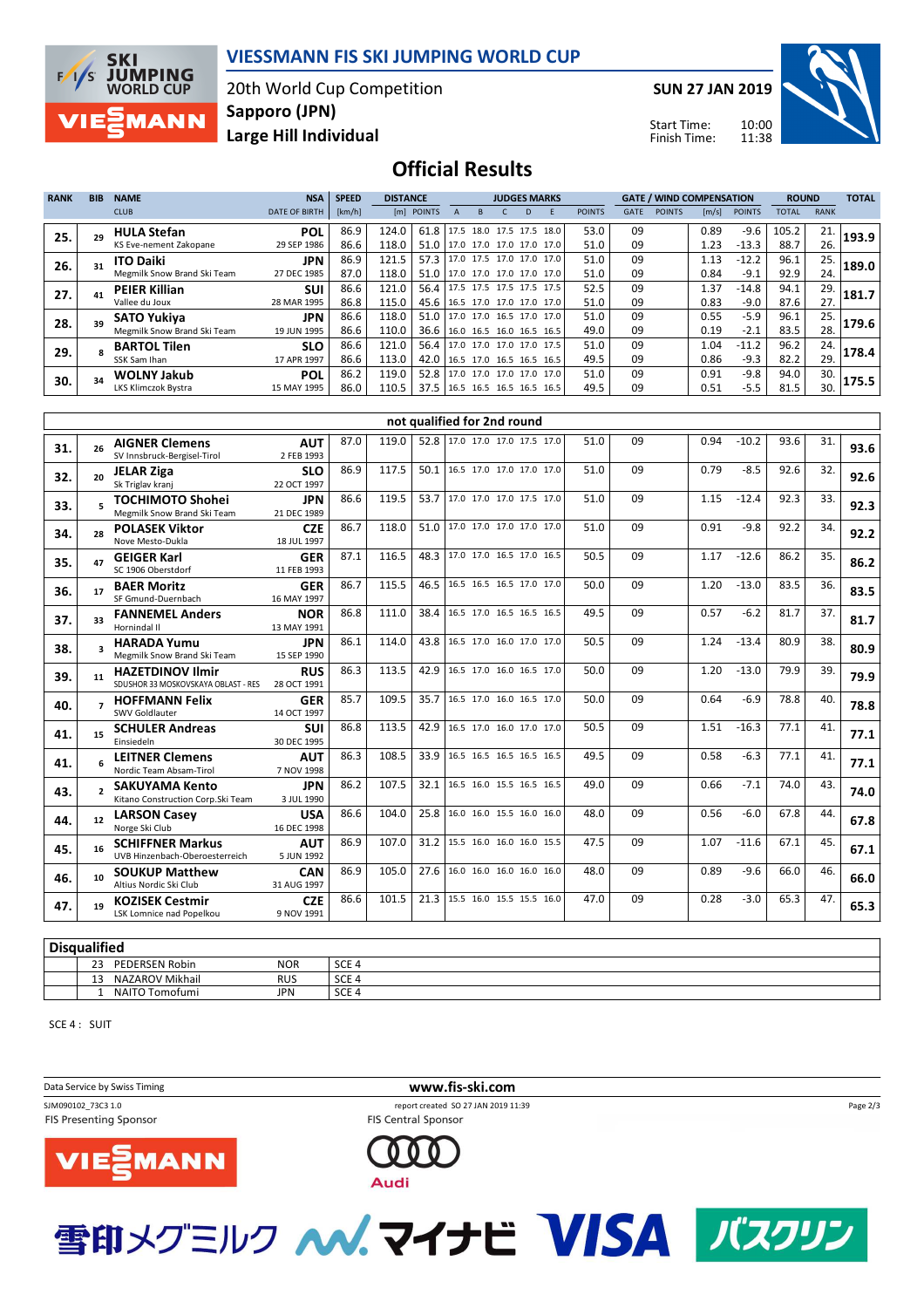

#### **VIESSMANN FIS SKI JUMPING WORLD CUP**

20th World Cup Competition **Large Hill Individual Sapporo (JPN)**

**SUN 27 JAN 2019**

Start Time: Finish Time:



# **Official Results**

| <b>RANK</b> | <b>BIB</b> | <b>NAME</b>                 | <b>NSA</b>           | <b>SPEED</b> | <b>DISTANCE</b> |                                 |                     |   | <b>JUDGES MARKS</b>      |               |             | <b>GATE / WIND COMPENSATION</b> |                       |               | <b>ROUND</b> |             | <b>TOTAL</b> |
|-------------|------------|-----------------------------|----------------------|--------------|-----------------|---------------------------------|---------------------|---|--------------------------|---------------|-------------|---------------------------------|-----------------------|---------------|--------------|-------------|--------------|
|             |            | <b>CLUB</b>                 | <b>DATE OF BIRTH</b> | [km/h]       |                 | [m] POINTS                      | R                   | D | F                        | <b>POINTS</b> | <b>GATE</b> | <b>POINTS</b>                   | $\lfloor m/s \rfloor$ | <b>POINTS</b> | <b>TOTAL</b> | <b>RANK</b> |              |
| 25.         |            | <b>HULA Stefan</b>          | <b>POL</b>           | 86.9         | 124.0           | 61.8   17.5 18.0 17.5 17.5 18.0 |                     |   |                          | 53.0          | 09          |                                 | 0.89                  | $-9.6$        | 105.2        | 21.         | 193.9        |
|             |            | KS Eve-nement Zakopane      | 29 SEP 1986          | 86.6         | 118.0           | 51.0   17.0 17.0 17.0 17.0 17.0 |                     |   |                          | 51.0          | 09          |                                 | 1.23                  | $-13.3$       | 88.7         | 26.         |              |
| 26.         |            | <b>ITO Daiki</b>            | <b>JPN</b>           | 86.9         | 121.5           | 57.3                            |                     |   | 17.0 17.5 17.0 17.0 17.0 | 51.0          | 09          |                                 | 1.13                  | $-12.2$       | 96.1         | 25.         | 189.0        |
|             |            | Megmilk Snow Brand Ski Team | 27 DEC 1985          | 87.0         | 118.0           | 51.0   17.0 17.0 17.0 17.0 17.0 |                     |   |                          | 51.0          | 09          |                                 | 0.84                  | $-9.1$        | 92.9         | 24.         |              |
| 27.         |            | <b>PEIER Killian</b>        | <b>SUI</b>           | 86.6         | 121.0           | 56.4                            |                     |   | 17.5 17.5 17.5 17.5 17.5 | 52.5          | 09          |                                 | 1.37                  | $-14.8$       | 94.1         | 29.         | 181.7        |
|             |            | Vallee du Joux              | 28 MAR 1995          | 86.8         | 115.0           | 45.6   16.5 17.0 17.0 17.0 17.0 |                     |   |                          | 51.0          | 09          |                                 | 0.83                  | $-9.0$        | 87.6         | 27.         |              |
| 28.         |            | <b>SATO Yukiva</b>          | <b>JPN</b>           | 86.6         | 118.0           | 51.0   17.0 17.0 16.5 17.0 17.0 |                     |   |                          | 51.0          | 09          |                                 | 0.55                  | $-5.9$        | 96.1         | 25.         | 179.6        |
|             |            | Megmilk Snow Brand Ski Team | 19 JUN 1995          | 86.6         | 110.0           | 36.6 16.0 16.5 16.0 16.5 16.5   |                     |   |                          | 49.0          | 09          |                                 | 0.19                  | $-2.1$        | 83.5         | 28.         |              |
| 29.         |            | <b>BARTOL Tilen</b>         | <b>SLO</b>           | 86.6         | 121.0           | 56.4                            |                     |   | 17.0 17.0 17.0 17.0 17.5 | 51.0          | 09          |                                 | 1.04                  | $-11.2$       | 96.2         | 24.         | 178.4        |
|             |            | SSK Sam Ihan                | 17 APR 1997          | 86.6         | 113.0           | 42.0 16.5 17.0 16.5 16.5 16.5   |                     |   |                          | 49.5          | 09          |                                 | 0.86                  | $-9.3$        | 82.2         | 29.         |              |
| 30.         |            | <b>WOLNY Jakub</b>          | <b>POL</b>           | 86.2         | 119.0           | 52.8                            | 17.0 17.0 17.0 17.0 |   | 17.0                     | 51.0          | 09          |                                 | 0.91                  | $-9.8$        | 94.0         | 30.         | 175.5        |
|             |            | LKS Klimczok Bystra         | 15 MAY 1995          | 86.0         | 110.5           | 37.5   16.5 16.5 16.5 16.5 16.5 |                     |   |                          | 49.5          | 09          |                                 | 0.51                  | $-5.5$        | 81.5         | 30.         |              |

|     |                 |                                                                |                           |      |       |      | not qualified for 2nd round |                                 |      |    |                 |      |     |      |
|-----|-----------------|----------------------------------------------------------------|---------------------------|------|-------|------|-----------------------------|---------------------------------|------|----|-----------------|------|-----|------|
| 31. | 26              | <b>AIGNER Clemens</b><br>SV Innsbruck-Bergisel-Tirol           | <b>AUT</b><br>2 FEB 1993  | 87.0 | 119.0 |      |                             | 52.8   17.0 17.0 17.0 17.5 17.0 | 51.0 | 09 | 0.94<br>$-10.2$ | 93.6 | 31. | 93.6 |
| 32. | 20              | <b>JELAR Ziga</b><br>Sk Triglav krani                          | <b>SLO</b><br>22 OCT 1997 | 86.9 | 117.5 |      |                             | 50.1 16.5 17.0 17.0 17.0 17.0   | 51.0 | 09 | 0.79<br>$-8.5$  | 92.6 | 32. | 92.6 |
| 33. |                 | <b>TOCHIMOTO Shohei</b><br>Megmilk Snow Brand Ski Team         | <b>JPN</b><br>21 DEC 1989 | 86.6 | 119.5 | 53.7 |                             | 17.0 17.0 17.0 17.5 17.0        | 51.0 | 09 | 1.15<br>$-12.4$ | 92.3 | 33. | 92.3 |
| 34. | 28              | <b>POLASEK Viktor</b><br>Nove Mesto-Dukla                      | <b>CZE</b><br>18 JUL 1997 | 86.7 | 118.0 | 51.0 |                             | 17.0 17.0 17.0 17.0 17.0        | 51.0 | 09 | 0.91<br>$-9.8$  | 92.2 | 34. | 92.2 |
| 35. |                 | <b>GEIGER Karl</b><br>SC 1906 Oberstdorf                       | <b>GER</b><br>11 FEB 1993 | 87.1 | 116.5 | 48.3 |                             | 17.0 17.0 16.5 17.0 16.5        | 50.5 | 09 | 1.17<br>$-12.6$ | 86.2 | 35. | 86.2 |
| 36. | 17              | <b>BAER Moritz</b><br>SF Gmund-Duernbach                       | <b>GER</b><br>16 MAY 1997 | 86.7 | 115.5 | 46.5 |                             | 16.5 16.5 16.5 17.0 17.0        | 50.0 | 09 | $-13.0$<br>1.20 | 83.5 | 36. | 83.5 |
| 37. | 33              | <b>FANNEMEL Anders</b><br>Hornindal II                         | <b>NOR</b><br>13 MAY 1991 | 86.8 | 111.0 | 38.4 |                             | 16.5 17.0 16.5 16.5 16.5        | 49.5 | 09 | $-6.2$<br>0.57  | 81.7 | 37. | 81.7 |
| 38. |                 | <b>HARADA Yumu</b><br>Megmilk Snow Brand Ski Team              | <b>JPN</b><br>15 SEP 1990 | 86.1 | 114.0 | 43.8 |                             | 16.5 17.0 16.0 17.0 17.0        | 50.5 | 09 | 1.24<br>$-13.4$ | 80.9 | 38. | 80.9 |
| 39. | 11              | <b>HAZETDINOV Ilmir</b><br>SDUSHOR 33 MOSKOVSKAYA OBLAST - RES | <b>RUS</b><br>28 OCT 1991 | 86.3 | 113.5 | 42.9 |                             | 16.5 17.0 16.0 16.5 17.0        | 50.0 | 09 | $-13.0$<br>1.20 | 79.9 | 39. | 79.9 |
| 40. |                 | <b>HOFFMANN Felix</b><br>SWV Goldlauter                        | <b>GER</b><br>14 OCT 1997 | 85.7 | 109.5 | 35.7 |                             | 16.5 17.0 16.0 16.5 17.0        | 50.0 | 09 | 0.64<br>$-6.9$  | 78.8 | 40. | 78.8 |
| 41. | 15              | <b>SCHULER Andreas</b><br>Einsiedeln                           | <b>SUI</b><br>30 DEC 1995 | 86.8 | 113.5 | 42.9 |                             | 16.5 17.0 16.0 17.0 17.0        | 50.5 | 09 | $-16.3$<br>1.51 | 77.1 | 41. | 77.1 |
| 41. |                 | <b>LEITNER Clemens</b><br>Nordic Team Absam-Tirol              | <b>AUT</b><br>7 NOV 1998  | 86.3 | 108.5 | 33.9 |                             | 16.5 16.5 16.5 16.5 16.5        | 49.5 | 09 | $-6.3$<br>0.58  | 77.1 | 41. | 77.1 |
| 43. |                 | <b>SAKUYAMA Kento</b><br>Kitano Construction Corp. Ski Team    | <b>JPN</b><br>3 JUL 1990  | 86.2 | 107.5 | 32.1 |                             | 16.5 16.0 15.5 16.5 16.5        | 49.0 | 09 | $-7.1$<br>0.66  | 74.0 | 43. | 74.0 |
| 44. | 12 <sup>1</sup> | <b>LARSON Casev</b><br>Norge Ski Club                          | <b>USA</b><br>16 DEC 1998 | 86.6 | 104.0 | 25.8 |                             | 16.0 16.0 15.5 16.0 16.0        | 48.0 | 09 | 0.56<br>$-6.0$  | 67.8 | 44. | 67.8 |
| 45. | 16              | <b>SCHIFFNER Markus</b><br>UVB Hinzenbach-Oberoesterreich      | <b>AUT</b><br>5 JUN 1992  | 86.9 | 107.0 | 31.2 |                             | 15.5 16.0 16.0 16.0 15.5        | 47.5 | 09 | 1.07<br>$-11.6$ | 67.1 | 45. | 67.1 |
| 46. | 10              | <b>SOUKUP Matthew</b><br>Altius Nordic Ski Club                | <b>CAN</b><br>31 AUG 1997 | 86.9 | 105.0 | 27.6 |                             | 16.0 16.0 16.0 16.0 16.0        | 48.0 | 09 | 0.89<br>$-9.6$  | 66.0 | 46. | 66.0 |
| 47. | 19              | <b>KOZISEK Cestmir</b><br>LSK Lomnice nad Popelkou             | <b>CZE</b><br>9 NOV 1991  | 86.6 | 101.5 |      |                             | 21.3   15.5 16.0 15.5 15.5 16.0 | 47.0 | 09 | 0.28<br>$-3.0$  | 65.3 | 47. | 65.3 |

#### **Disqualified**

| <b>Disqualitied</b>               |            |                  |  |  |  |  |  |  |  |  |  |
|-----------------------------------|------------|------------------|--|--|--|--|--|--|--|--|--|
| າາ<br><b>PEDERSEN Robin</b><br>رے | <b>NOR</b> | SCE <sub>4</sub> |  |  |  |  |  |  |  |  |  |
| NAZAROV Mikhail<br>$\sim$<br>ᅩ    | <b>RUS</b> | COF.<br>4 JCE.   |  |  |  |  |  |  |  |  |  |
| NAITO 1.<br>Tomofumi              | <b>JPN</b> | SCE <sub>4</sub> |  |  |  |  |  |  |  |  |  |

SCE 4 : SUIT

Data Service by Swiss Timing **www.fis-ski.com** SJM090102\_73C3 1.0 report created SO 27 JAN 2019 11:39 FIS Presenting Sponsor